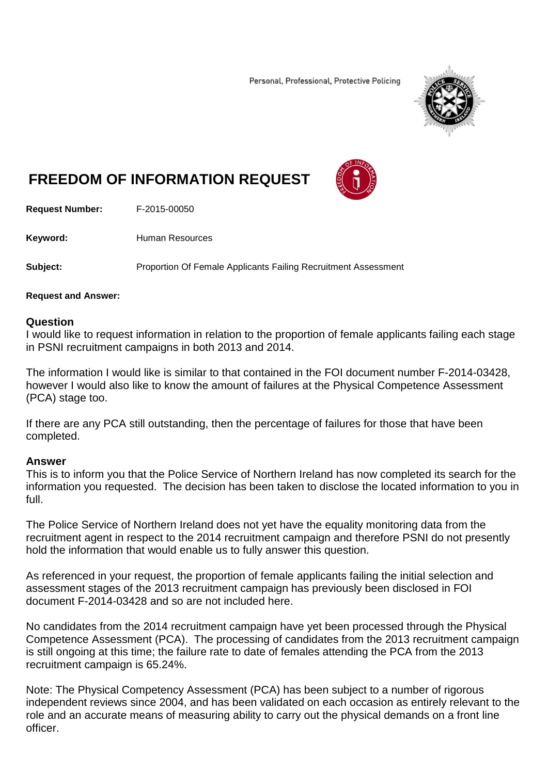Personal, Professional, Protective Policing



## **FREEDOM OF INFORMATION REQUEST**



**Request Number:** F-2015-00050

Keyword: Human Resources

**Subject:** Proportion Of Female Applicants Failing Recruitment Assessment

## **Request and Answer:**

## **Question**

I would like to request information in relation to the proportion of female applicants failing each stage in PSNI recruitment campaigns in both 2013 and 2014.

The information I would like is similar to that contained in the FOI document number F-2014-03428, however I would also like to know the amount of failures at the Physical Competence Assessment (PCA) stage too.

If there are any PCA still outstanding, then the percentage of failures for those that have been completed.

## **Answer**

This is to inform you that the Police Service of Northern Ireland has now completed its search for the information you requested. The decision has been taken to disclose the located information to you in full.

The Police Service of Northern Ireland does not yet have the equality monitoring data from the recruitment agent in respect to the 2014 recruitment campaign and therefore PSNI do not presently hold the information that would enable us to fully answer this question.

As referenced in your request, the proportion of female applicants failing the initial selection and assessment stages of the 2013 recruitment campaign has previously been disclosed in FOI document F-2014-03428 and so are not included here.

No candidates from the 2014 recruitment campaign have yet been processed through the Physical Competence Assessment (PCA). The processing of candidates from the 2013 recruitment campaign is still ongoing at this time; the failure rate to date of females attending the PCA from the 2013 recruitment campaign is 65.24%.

Note: The Physical Competency Assessment (PCA) has been subject to a number of rigorous independent reviews since 2004, and has been validated on each occasion as entirely relevant to the role and an accurate means of measuring ability to carry out the physical demands on a front line officer.